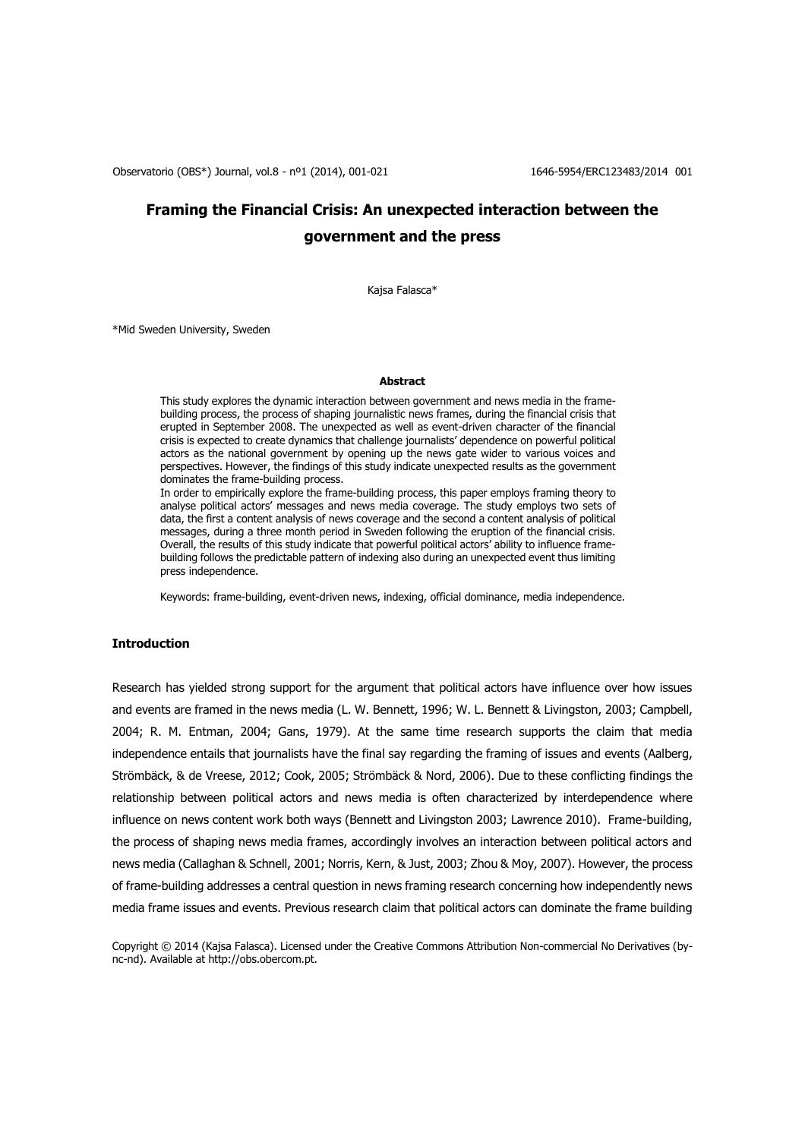# **Framing the Financial Crisis: An unexpected interaction between the government and the press**

Kajsa Falasca\*

\*Mid Sweden University, Sweden

#### **Abstract**

This study explores the dynamic interaction between government and news media in the framebuilding process, the process of shaping journalistic news frames, during the financial crisis that erupted in September 2008. The unexpected as well as event-driven character of the financial crisis is expected to create dynamics that challenge journalists' dependence on powerful political actors as the national government by opening up the news gate wider to various voices and perspectives. However, the findings of this study indicate unexpected results as the government dominates the frame-building process.

In order to empirically explore the frame-building process, this paper employs framing theory to analyse political actors' messages and news media coverage. The study employs two sets of data, the first a content analysis of news coverage and the second a content analysis of political messages, during a three month period in Sweden following the eruption of the financial crisis. Overall, the results of this study indicate that powerful political actors' ability to influence framebuilding follows the predictable pattern of indexing also during an unexpected event thus limiting press independence.

Keywords: frame-building, event-driven news, indexing, official dominance, media independence.

### **Introduction**

Research has yielded strong support for the argument that political actors have influence over how issues and events are framed in the news media [\(L. W. Bennett, 1996;](#page-17-0) [W. L. Bennett & Livingston, 2003;](#page-18-0) [Campbell,](#page-18-1)  [2004;](#page-18-1) [R. M. Entman, 2004;](#page-18-2) [Gans, 1979\)](#page-19-0). At the same time research supports the claim that media independence entails that journalists have the final say regarding the framing of issues and events [\(Aalberg,](#page-17-1)  [Strömbäck, & de Vreese, 2012;](#page-17-1) [Cook, 2005;](#page-18-3) [Strömbäck & Nord, 2006\)](#page-20-0). Due to these conflicting findings the relationship between political actors and news media is often characterized by interdependence where influence on news content work both ways (Bennett and Livingston 2003; Lawrence 2010). Frame-building, the process of shaping news media frames, accordingly involves an interaction between political actors and news media [\(Callaghan & Schnell, 2001;](#page-18-4) [Norris, Kern, & Just, 2003;](#page-19-1) [Zhou & Moy, 2007\)](#page-20-1). However, the process of frame-building addresses a central question in news framing research concerning how independently news media frame issues and events. Previous research claim that political actors can dominate the frame building

Copyright © 2014 (Kajsa Falasca). Licensed under the Creative Commons Attribution Non-commercial No Derivatives (bync-nd). Available at http://obs.obercom.pt.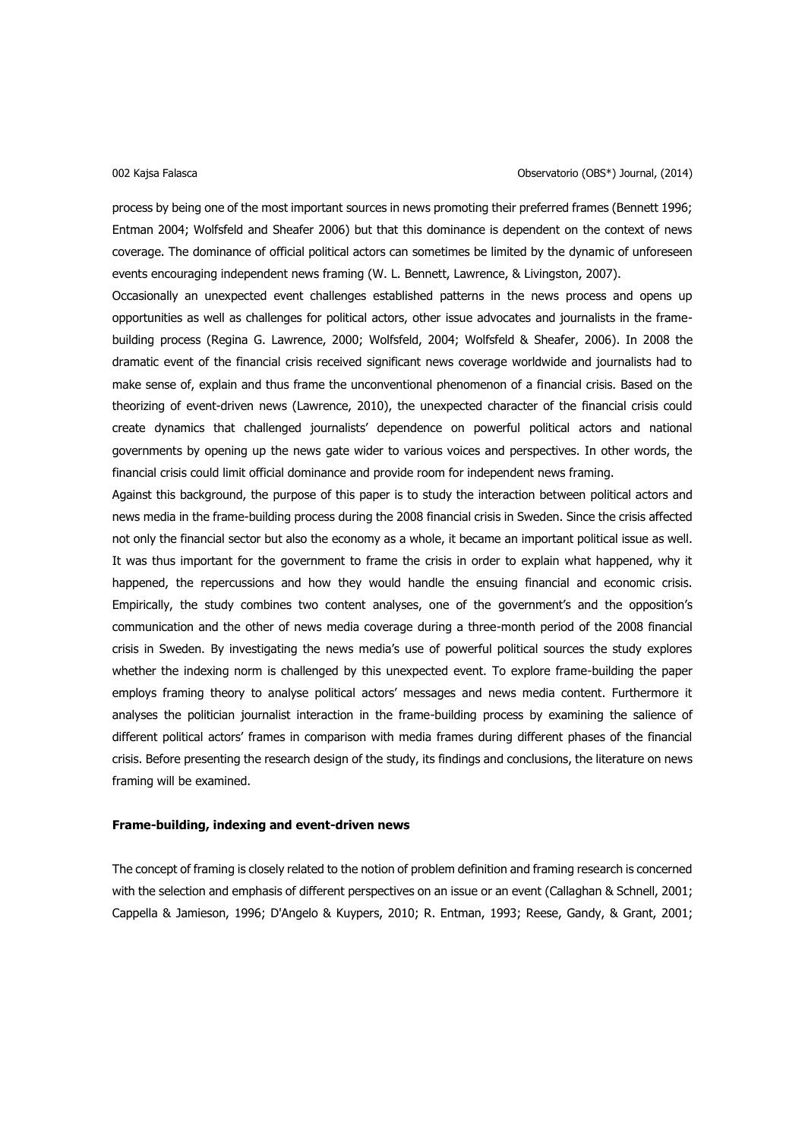#### 002 Kajsa Falasca Observatorio (OBS\*) Journal, (2014)

process by being one of the most important sources in news promoting their preferred frames (Bennett 1996; Entman 2004; Wolfsfeld and Sheafer 2006) but that this dominance is dependent on the context of news coverage. The dominance of official political actors can sometimes be limited by the dynamic of unforeseen events encouraging independent news framing [\(W. L. Bennett, Lawrence, & Livingston, 2007\)](#page-18-5).

Occasionally an unexpected event challenges established patterns in the news process and opens up opportunities as well as challenges for political actors, other issue advocates and journalists in the framebuilding process [\(Regina G. Lawrence, 2000;](#page-19-2) [Wolfsfeld, 2004;](#page-20-2) [Wolfsfeld & Sheafer, 2006\)](#page-20-3). In 2008 the dramatic event of the financial crisis received significant news coverage worldwide and journalists had to make sense of, explain and thus frame the unconventional phenomenon of a financial crisis. Based on the theorizing of event-driven news (Lawrence, 2010), the unexpected character of the financial crisis could create dynamics that challenged journalists' dependence on powerful political actors and national governments by opening up the news gate wider to various voices and perspectives. In other words, the financial crisis could limit official dominance and provide room for independent news framing.

Against this background, the purpose of this paper is to study the interaction between political actors and news media in the frame-building process during the 2008 financial crisis in Sweden. Since the crisis affected not only the financial sector but also the economy as a whole, it became an important political issue as well. It was thus important for the government to frame the crisis in order to explain what happened, why it happened, the repercussions and how they would handle the ensuing financial and economic crisis. Empirically, the study combines two content analyses, one of the government's and the opposition's communication and the other of news media coverage during a three-month period of the 2008 financial crisis in Sweden. By investigating the news media's use of powerful political sources the study explores whether the indexing norm is challenged by this unexpected event. To explore frame-building the paper employs framing theory to analyse political actors' messages and news media content. Furthermore it analyses the politician journalist interaction in the frame-building process by examining the salience of different political actors' frames in comparison with media frames during different phases of the financial crisis. Before presenting the research design of the study, its findings and conclusions, the literature on news framing will be examined.

### **Frame-building, indexing and event-driven news**

The concept of framing is closely related to the notion of problem definition and framing research is concerned with the selection and emphasis of different perspectives on an issue or an event [\(Callaghan & Schnell, 2001;](#page-18-4) [Cappella & Jamieson, 1996;](#page-18-6) [D'Angelo & Kuypers, 2010;](#page-18-7) [R. Entman, 1993;](#page-18-8) [Reese, Gandy, & Grant, 2001;](#page-19-3)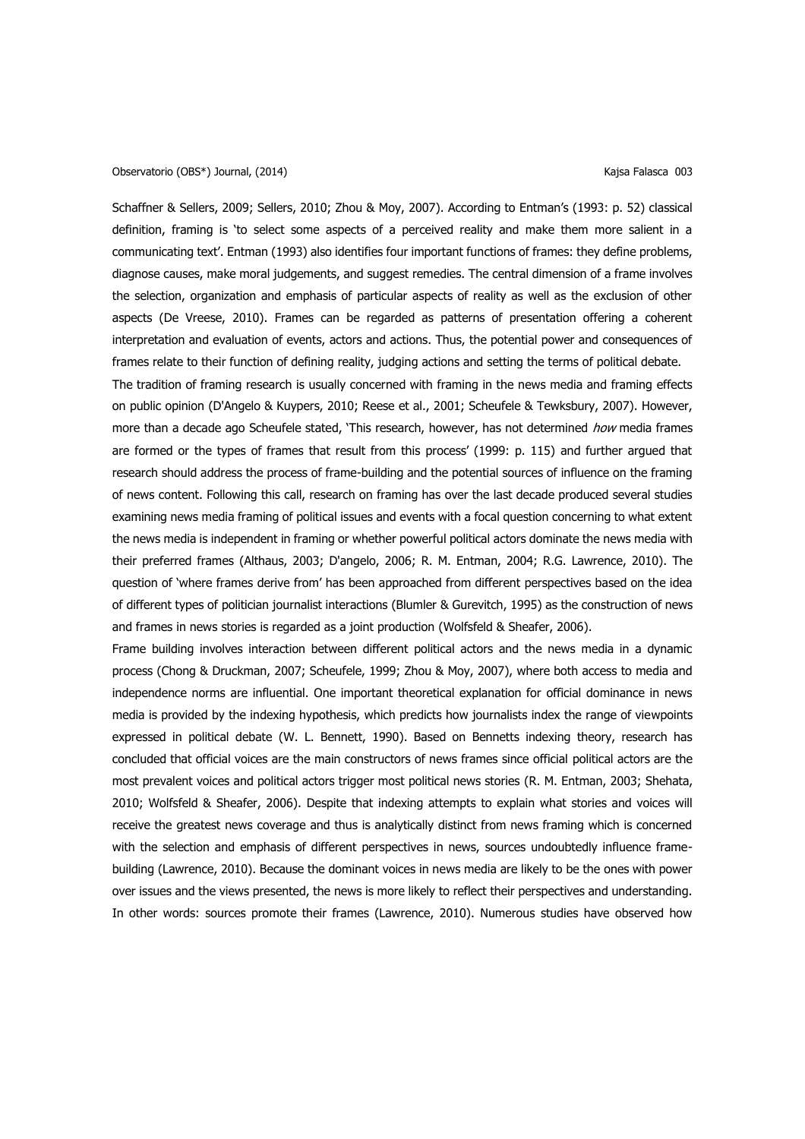# Observatorio (OBS\*) Journal, (2014) Charles and Controller and Controller and Controller and Controller and Controller and Controller and Controller and Controller and Controller and Controller and Controller and Controlle

[Schaffner & Sellers, 2009;](#page-19-4) [Sellers, 2010;](#page-19-5) [Zhou & Moy, 2007\)](#page-20-1). According to Entman's (1993: p. 52) classical definition, framing is 'to select some aspects of a perceived reality and make them more salient in a communicating text'. Entman (1993) also identifies four important functions of frames: they define problems, diagnose causes, make moral judgements, and suggest remedies. The central dimension of a frame involves the selection, organization and emphasis of particular aspects of reality as well as the exclusion of other aspects [\(De Vreese, 2010\)](#page-18-9). Frames can be regarded as patterns of presentation offering a coherent interpretation and evaluation of events, actors and actions. Thus, the potential power and consequences of frames relate to their function of defining reality, judging actions and setting the terms of political debate.

The tradition of framing research is usually concerned with framing in the news media and framing effects on public opinion [\(D'Angelo & Kuypers, 2010;](#page-18-7) [Reese et al., 2001;](#page-19-3) [Scheufele & Tewksbury, 2007\)](#page-19-6). However, more than a decade ago Scheufele stated, 'This research, however, has not determined how media frames are formed or the types of frames that result from this process' (1999: p. 115) and further argued that research should address the process of frame-building and the potential sources of influence on the framing of news content. Following this call, research on framing has over the last decade produced several studies examining news media framing of political issues and events with a focal question concerning to what extent the news media is independent in framing or whether powerful political actors dominate the news media with their preferred frames [\(Althaus, 2003;](#page-17-2) [D'angelo, 2006;](#page-18-10) [R. M. Entman, 2004;](#page-18-2) [R.G. Lawrence, 2010\)](#page-19-7). The question of 'where frames derive from' has been approached from different perspectives based on the idea of different types of politician journalist interactions [\(Blumler & Gurevitch, 1995\)](#page-18-11) as the construction of news and frames in news stories is regarded as a joint production [\(Wolfsfeld & Sheafer, 2006\)](#page-20-3).

Frame building involves interaction between different political actors and the news media in a dynamic process [\(Chong & Druckman, 2007;](#page-18-12) [Scheufele, 1999;](#page-19-8) [Zhou & Moy, 2007\)](#page-20-1), where both access to media and independence norms are influential. One important theoretical explanation for official dominance in news media is provided by the indexing hypothesis, which predicts how journalists index the range of viewpoints expressed in political debate [\(W. L. Bennett, 1990\)](#page-17-3). Based on Bennetts indexing theory, research has concluded that official voices are the main constructors of news frames since official political actors are the most prevalent voices and political actors trigger most political news stories [\(R. M. Entman, 2003;](#page-18-13) [Shehata,](#page-20-4)  [2010;](#page-20-4) [Wolfsfeld & Sheafer, 2006\)](#page-20-3). Despite that indexing attempts to explain what stories and voices will receive the greatest news coverage and thus is analytically distinct from news framing which is concerned with the selection and emphasis of different perspectives in news, sources undoubtedly influence framebuilding (Lawrence, 2010). Because the dominant voices in news media are likely to be the ones with power over issues and the views presented, the news is more likely to reflect their perspectives and understanding. In other words: sources promote their frames (Lawrence, 2010). Numerous studies have observed how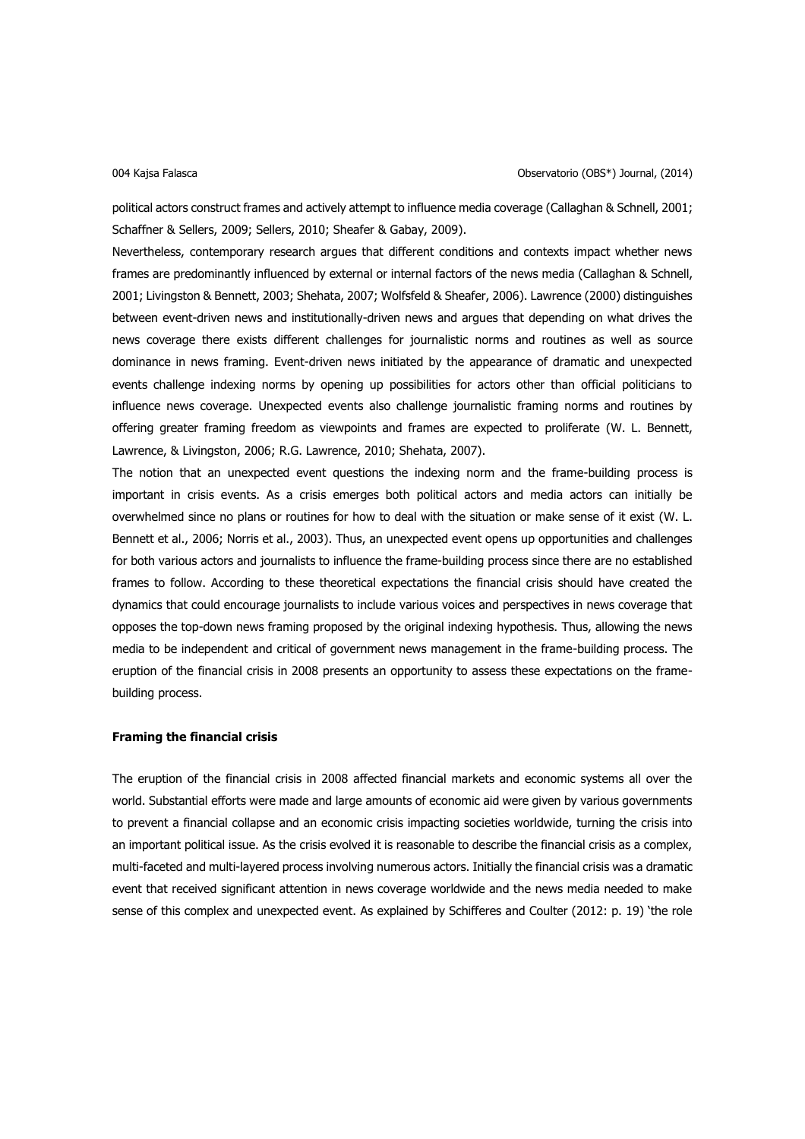political actors construct frames and actively attempt to influence media coverage [\(Callaghan & Schnell, 2001;](#page-18-4) [Schaffner & Sellers, 2009;](#page-19-4) [Sellers, 2010;](#page-19-5) [Sheafer & Gabay, 2009\)](#page-19-9).

Nevertheless, contemporary research argues that different conditions and contexts impact whether news frames are predominantly influenced by external or internal factors of the news media [\(Callaghan & Schnell,](#page-18-4)  [2001;](#page-18-4) [Livingston & Bennett, 2003;](#page-19-10) [Shehata, 2007;](#page-20-5) [Wolfsfeld & Sheafer, 2006\)](#page-20-3). Lawrence (2000) distinguishes between event-driven news and institutionally-driven news and argues that depending on what drives the news coverage there exists different challenges for journalistic norms and routines as well as source dominance in news framing. Event-driven news initiated by the appearance of dramatic and unexpected events challenge indexing norms by opening up possibilities for actors other than official politicians to influence news coverage. Unexpected events also challenge journalistic framing norms and routines by offering greater framing freedom as viewpoints and frames are expected to proliferate [\(W. L. Bennett,](#page-18-14)  [Lawrence, & Livingston, 2006;](#page-18-14) [R.G. Lawrence, 2010;](#page-19-7) [Shehata, 2007\)](#page-20-5).

The notion that an unexpected event questions the indexing norm and the frame-building process is important in crisis events. As a crisis emerges both political actors and media actors can initially be overwhelmed since no plans or routines for how to deal with the situation or make sense of it exist [\(W. L.](#page-18-14)  [Bennett et al., 2006;](#page-18-14) [Norris et al., 2003\)](#page-19-1). Thus, an unexpected event opens up opportunities and challenges for both various actors and journalists to influence the frame-building process since there are no established frames to follow. According to these theoretical expectations the financial crisis should have created the dynamics that could encourage journalists to include various voices and perspectives in news coverage that opposes the top-down news framing proposed by the original indexing hypothesis. Thus, allowing the news media to be independent and critical of government news management in the frame-building process. The eruption of the financial crisis in 2008 presents an opportunity to assess these expectations on the framebuilding process.

#### **Framing the financial crisis**

The eruption of the financial crisis in 2008 affected financial markets and economic systems all over the world. Substantial efforts were made and large amounts of economic aid were given by various governments to prevent a financial collapse and an economic crisis impacting societies worldwide, turning the crisis into an important political issue. As the crisis evolved it is reasonable to describe the financial crisis as a complex, multi-faceted and multi-layered process involving numerous actors. Initially the financial crisis was a dramatic event that received significant attention in news coverage worldwide and the news media needed to make sense of this complex and unexpected event. As explained by Schifferes and Coulter (2012: p. 19) 'the role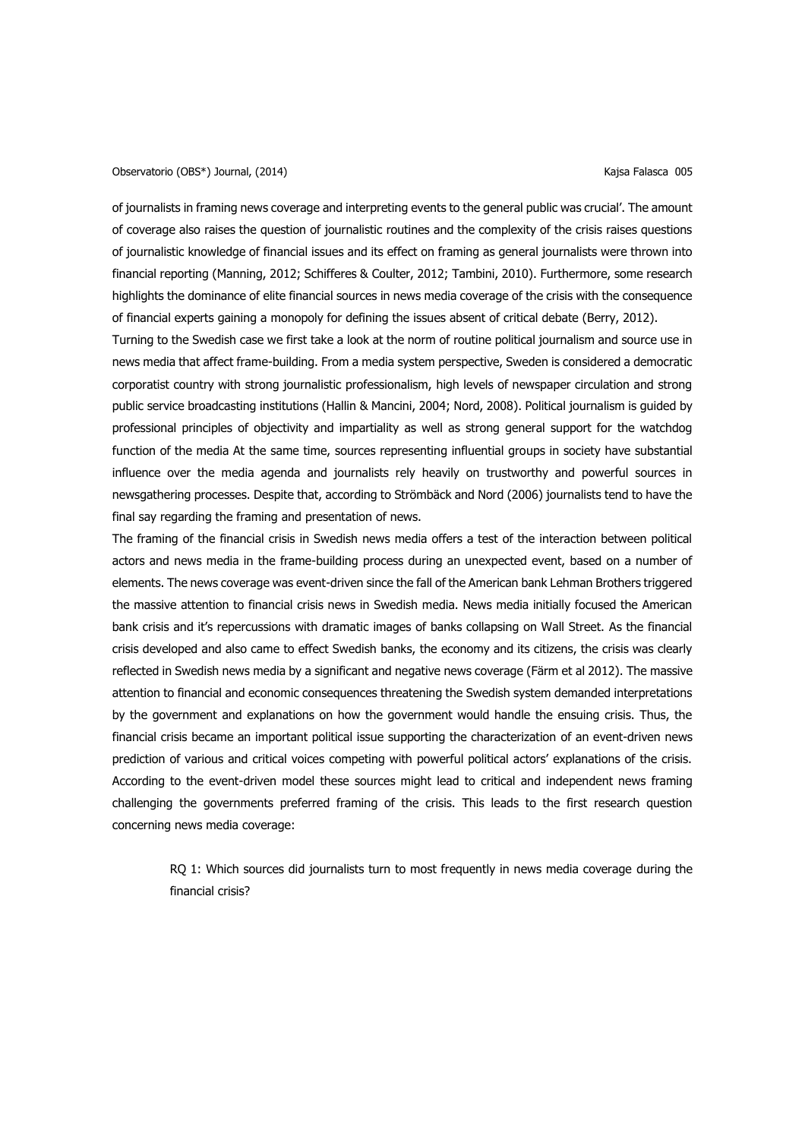# Observatorio (OBS\*) Journal, (2014) Charles and Controller and Controller and Controller and Controller and Controller and Controller and Controller and Controller and Controller and Controller and Controller and Controlle

of journalists in framing news coverage and interpreting events to the general public was crucial'. The amount of coverage also raises the question of journalistic routines and the complexity of the crisis raises questions of journalistic knowledge of financial issues and its effect on framing as general journalists were thrown into financial reporting [\(Manning, 2012;](#page-19-11) [Schifferes & Coulter, 2012;](#page-19-12) [Tambini, 2010\)](#page-20-6). Furthermore, some research highlights the dominance of elite financial sources in news media coverage of the crisis with the consequence of financial experts gaining a monopoly for defining the issues absent of critical debate [\(Berry, 2012\)](#page-18-15).

Turning to the Swedish case we first take a look at the norm of routine political journalism and source use in news media that affect frame-building. From a media system perspective, Sweden is considered a democratic corporatist country with strong journalistic professionalism, high levels of newspaper circulation and strong public service broadcasting institutions [\(Hallin & Mancini, 2004;](#page-19-13) [Nord, 2008\)](#page-19-14). Political journalism is guided by professional principles of objectivity and impartiality as well as strong general support for the watchdog function of the media At the same time, sources representing influential groups in society have substantial influence over the media agenda and journalists rely heavily on trustworthy and powerful sources in newsgathering processes. Despite that, according to Strömbäck and Nord (2006) journalists tend to have the final say regarding the framing and presentation of news.

The framing of the financial crisis in Swedish news media offers a test of the interaction between political actors and news media in the frame-building process during an unexpected event, based on a number of elements. The news coverage was event-driven since the fall of the American bank Lehman Brothers triggered the massive attention to financial crisis news in Swedish media. News media initially focused the American bank crisis and it's repercussions with dramatic images of banks collapsing on Wall Street. As the financial crisis developed and also came to effect Swedish banks, the economy and its citizens, the crisis was clearly reflected in Swedish news media by a significant and negative news coverage (Färm et al 2012). The massive attention to financial and economic consequences threatening the Swedish system demanded interpretations by the government and explanations on how the government would handle the ensuing crisis. Thus, the financial crisis became an important political issue supporting the characterization of an event-driven news prediction of various and critical voices competing with powerful political actors' explanations of the crisis. According to the event-driven model these sources might lead to critical and independent news framing challenging the governments preferred framing of the crisis. This leads to the first research question concerning news media coverage:

RQ 1: Which sources did journalists turn to most frequently in news media coverage during the financial crisis?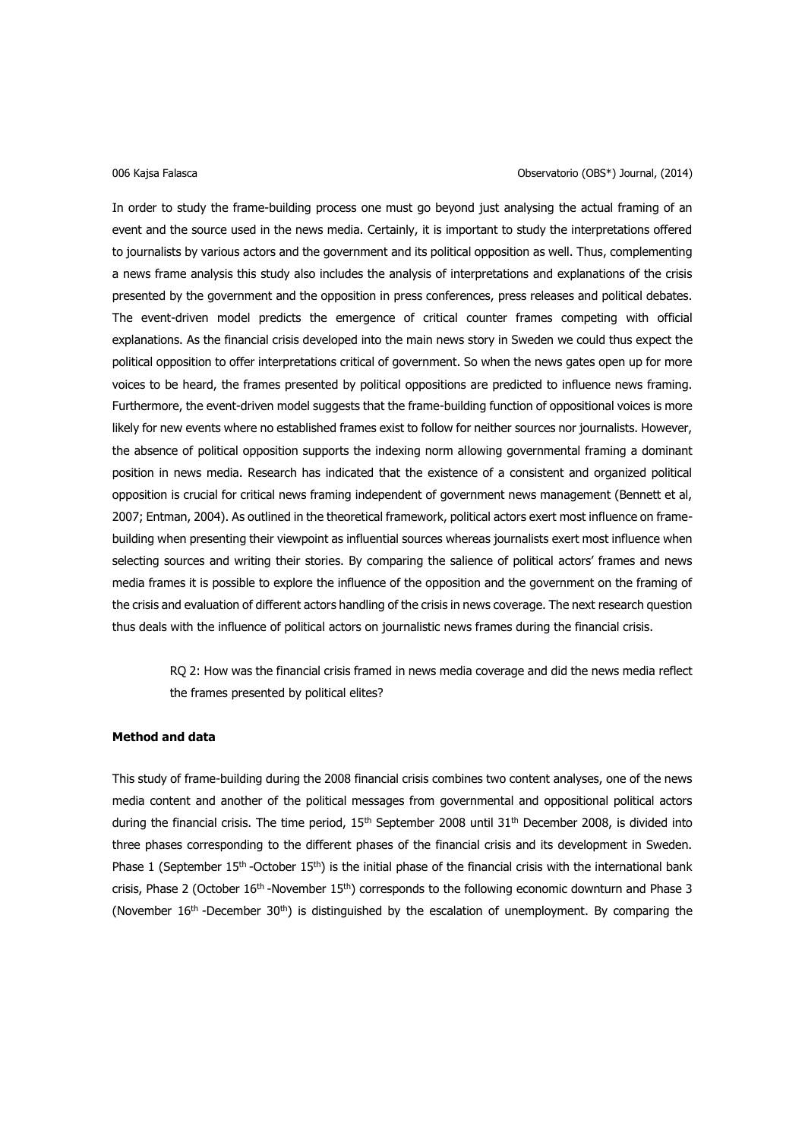### 006 Kajsa Falasca Observatorio (OBS\*) Journal, (2014)

In order to study the frame-building process one must go beyond just analysing the actual framing of an event and the source used in the news media. Certainly, it is important to study the interpretations offered to journalists by various actors and the government and its political opposition as well. Thus, complementing a news frame analysis this study also includes the analysis of interpretations and explanations of the crisis presented by the government and the opposition in press conferences, press releases and political debates. The event-driven model predicts the emergence of critical counter frames competing with official explanations. As the financial crisis developed into the main news story in Sweden we could thus expect the political opposition to offer interpretations critical of government. So when the news gates open up for more voices to be heard, the frames presented by political oppositions are predicted to influence news framing. Furthermore, the event-driven model suggests that the frame-building function of oppositional voices is more likely for new events where no established frames exist to follow for neither sources nor journalists. However, the absence of political opposition supports the indexing norm allowing governmental framing a dominant position in news media. Research has indicated that the existence of a consistent and organized political opposition is crucial for critical news framing independent of government news management (Bennett et al, 2007; Entman, 2004). As outlined in the theoretical framework, political actors exert most influence on framebuilding when presenting their viewpoint as influential sources whereas journalists exert most influence when selecting sources and writing their stories. By comparing the salience of political actors' frames and news media frames it is possible to explore the influence of the opposition and the government on the framing of the crisis and evaluation of different actors handling of the crisis in news coverage. The next research question thus deals with the influence of political actors on journalistic news frames during the financial crisis.

RQ 2: How was the financial crisis framed in news media coverage and did the news media reflect the frames presented by political elites?

# **Method and data**

This study of frame-building during the 2008 financial crisis combines two content analyses, one of the news media content and another of the political messages from governmental and oppositional political actors during the financial crisis. The time period,  $15<sup>th</sup>$  September 2008 until  $31<sup>th</sup>$  December 2008, is divided into three phases corresponding to the different phases of the financial crisis and its development in Sweden. Phase 1 (September  $15<sup>th</sup>$  -October  $15<sup>th</sup>$ ) is the initial phase of the financial crisis with the international bank crisis, Phase 2 (October  $16th$  -November  $15th$ ) corresponds to the following economic downturn and Phase 3 (November  $16<sup>th</sup>$  -December 30<sup>th</sup>) is distinguished by the escalation of unemployment. By comparing the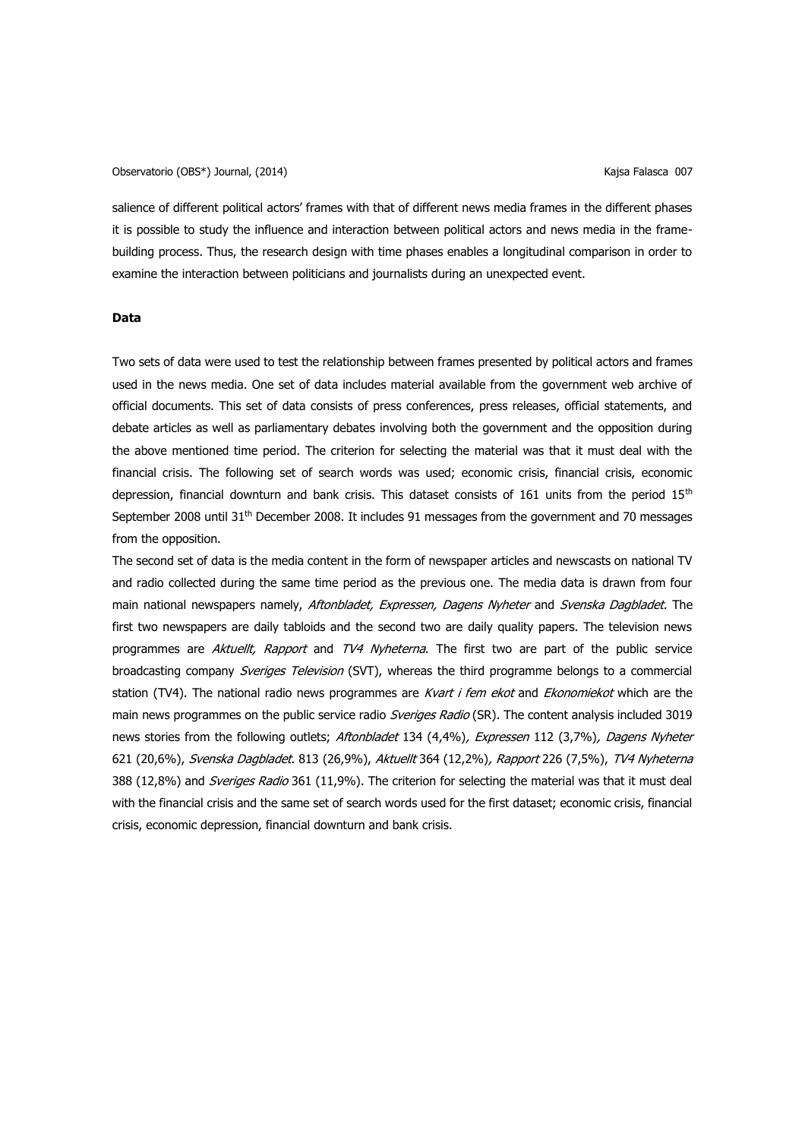salience of different political actors' frames with that of different news media frames in the different phases it is possible to study the influence and interaction between political actors and news media in the framebuilding process. Thus, the research design with time phases enables a longitudinal comparison in order to examine the interaction between politicians and journalists during an unexpected event.

# **Data**

Two sets of data were used to test the relationship between frames presented by political actors and frames used in the news media. One set of data includes material available from the government web archive of official documents. This set of data consists of press conferences, press releases, official statements, and debate articles as well as parliamentary debates involving both the government and the opposition during the above mentioned time period. The criterion for selecting the material was that it must deal with the financial crisis. The following set of search words was used; economic crisis, financial crisis, economic depression, financial downturn and bank crisis. This dataset consists of 161 units from the period 15<sup>th</sup> September 2008 until 31<sup>th</sup> December 2008. It includes 91 messages from the government and 70 messages from the opposition.

The second set of data is the media content in the form of newspaper articles and newscasts on national TV and radio collected during the same time period as the previous one. The media data is drawn from four main national newspapers namely, Aftonbladet, Expressen, Dagens Nyheter and Svenska Dagbladet. The first two newspapers are daily tabloids and the second two are daily quality papers. The television news programmes are Aktuellt, Rapport and TV4 Nyheterna. The first two are part of the public service broadcasting company Sveriges Television (SVT), whereas the third programme belongs to a commercial station (TV4). The national radio news programmes are Kvart i fem ekot and Ekonomiekot which are the main news programmes on the public service radio Sveriges Radio (SR). The content analysis included 3019 news stories from the following outlets; Aftonbladet 134 (4,4%), Expressen 112 (3,7%), Dagens Nyheter 621 (20,6%), Svenska Dagbladet. 813 (26,9%), Aktuellt 364 (12,2%), Rapport 226 (7,5%), TV4 Nyheterna 388 (12,8%) and Sveriges Radio 361 (11,9%). The criterion for selecting the material was that it must deal with the financial crisis and the same set of search words used for the first dataset; economic crisis, financial crisis, economic depression, financial downturn and bank crisis.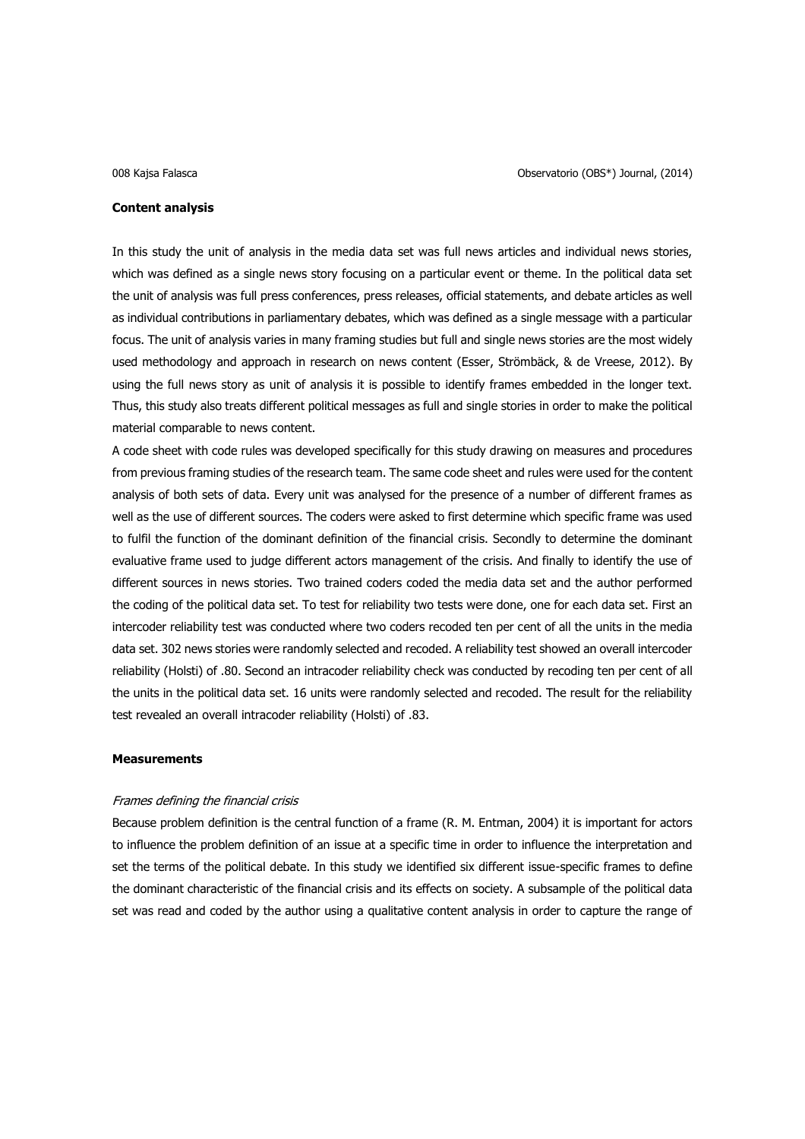### **Content analysis**

In this study the unit of analysis in the media data set was full news articles and individual news stories, which was defined as a single news story focusing on a particular event or theme. In the political data set the unit of analysis was full press conferences, press releases, official statements, and debate articles as well as individual contributions in parliamentary debates, which was defined as a single message with a particular focus. The unit of analysis varies in many framing studies but full and single news stories are the most widely used methodology and approach in research on news content [\(Esser, Strömbäck, & de Vreese, 2012\)](#page-19-15). By using the full news story as unit of analysis it is possible to identify frames embedded in the longer text. Thus, this study also treats different political messages as full and single stories in order to make the political material comparable to news content.

A code sheet with code rules was developed specifically for this study drawing on measures and procedures from previous framing studies of the research team. The same code sheet and rules were used for the content analysis of both sets of data. Every unit was analysed for the presence of a number of different frames as well as the use of different sources. The coders were asked to first determine which specific frame was used to fulfil the function of the dominant definition of the financial crisis. Secondly to determine the dominant evaluative frame used to judge different actors management of the crisis. And finally to identify the use of different sources in news stories. Two trained coders coded the media data set and the author performed the coding of the political data set. To test for reliability two tests were done, one for each data set. First an intercoder reliability test was conducted where two coders recoded ten per cent of all the units in the media data set. 302 news stories were randomly selected and recoded. A reliability test showed an overall intercoder reliability (Holsti) of .80. Second an intracoder reliability check was conducted by recoding ten per cent of all the units in the political data set. 16 units were randomly selected and recoded. The result for the reliability test revealed an overall intracoder reliability (Holsti) of .83.

### **Measurements**

#### Frames defining the financial crisis

Because problem definition is the central function of a frame [\(R. M. Entman, 2004\)](#page-18-2) it is important for actors to influence the problem definition of an issue at a specific time in order to influence the interpretation and set the terms of the political debate. In this study we identified six different issue-specific frames to define the dominant characteristic of the financial crisis and its effects on society. A subsample of the political data set was read and coded by the author using a qualitative content analysis in order to capture the range of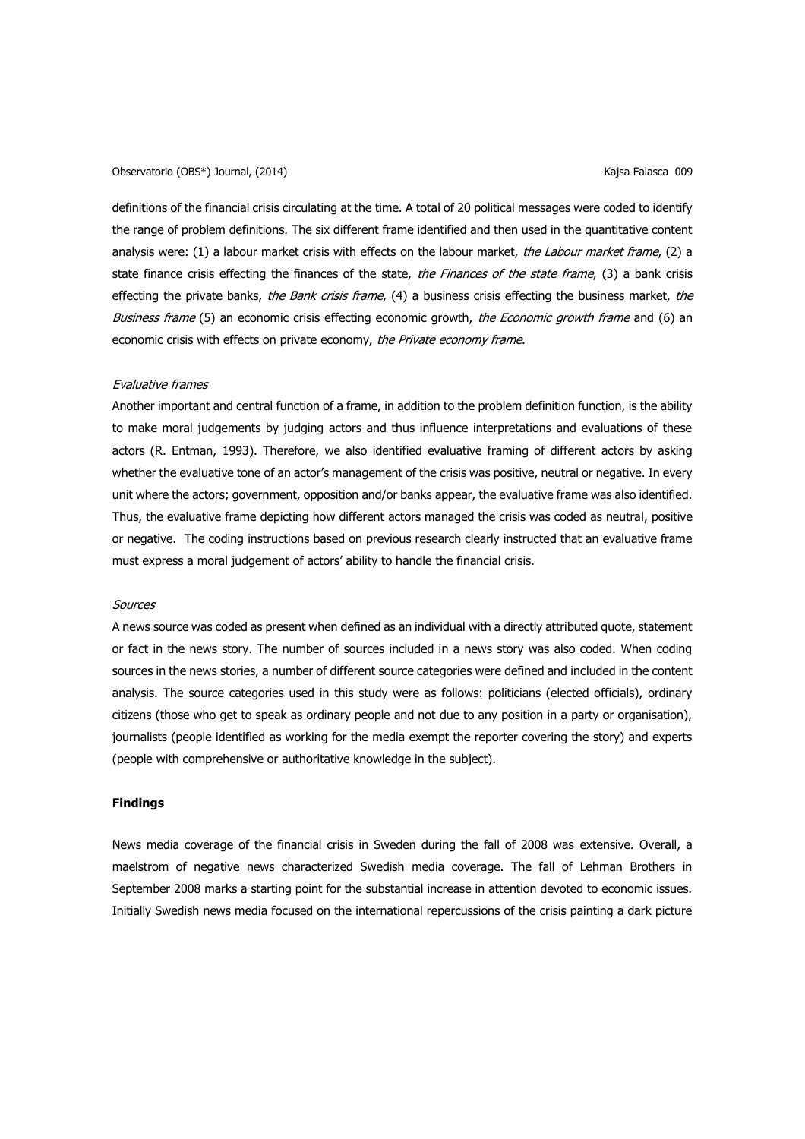definitions of the financial crisis circulating at the time. A total of 20 political messages were coded to identify the range of problem definitions. The six different frame identified and then used in the quantitative content analysis were: (1) a labour market crisis with effects on the labour market, the Labour market frame, (2) a state finance crisis effecting the finances of the state, the Finances of the state frame, (3) a bank crisis effecting the private banks, the Bank crisis frame, (4) a business crisis effecting the business market, the Business frame (5) an economic crisis effecting economic growth, the Economic growth frame and (6) an economic crisis with effects on private economy, the Private economy frame.

#### Evaluative frames

Another important and central function of a frame, in addition to the problem definition function, is the ability to make moral judgements by judging actors and thus influence interpretations and evaluations of these actors [\(R. Entman, 1993\)](#page-18-8). Therefore, we also identified evaluative framing of different actors by asking whether the evaluative tone of an actor's management of the crisis was positive, neutral or negative. In every unit where the actors; government, opposition and/or banks appear, the evaluative frame was also identified. Thus, the evaluative frame depicting how different actors managed the crisis was coded as neutral, positive or negative. The coding instructions based on previous research clearly instructed that an evaluative frame must express a moral judgement of actors' ability to handle the financial crisis.

#### **Sources**

A news source was coded as present when defined as an individual with a directly attributed quote, statement or fact in the news story. The number of sources included in a news story was also coded. When coding sources in the news stories, a number of different source categories were defined and included in the content analysis. The source categories used in this study were as follows: politicians (elected officials), ordinary citizens (those who get to speak as ordinary people and not due to any position in a party or organisation), journalists (people identified as working for the media exempt the reporter covering the story) and experts (people with comprehensive or authoritative knowledge in the subject).

### **Findings**

News media coverage of the financial crisis in Sweden during the fall of 2008 was extensive. Overall, a maelstrom of negative news characterized Swedish media coverage. The fall of Lehman Brothers in September 2008 marks a starting point for the substantial increase in attention devoted to economic issues. Initially Swedish news media focused on the international repercussions of the crisis painting a dark picture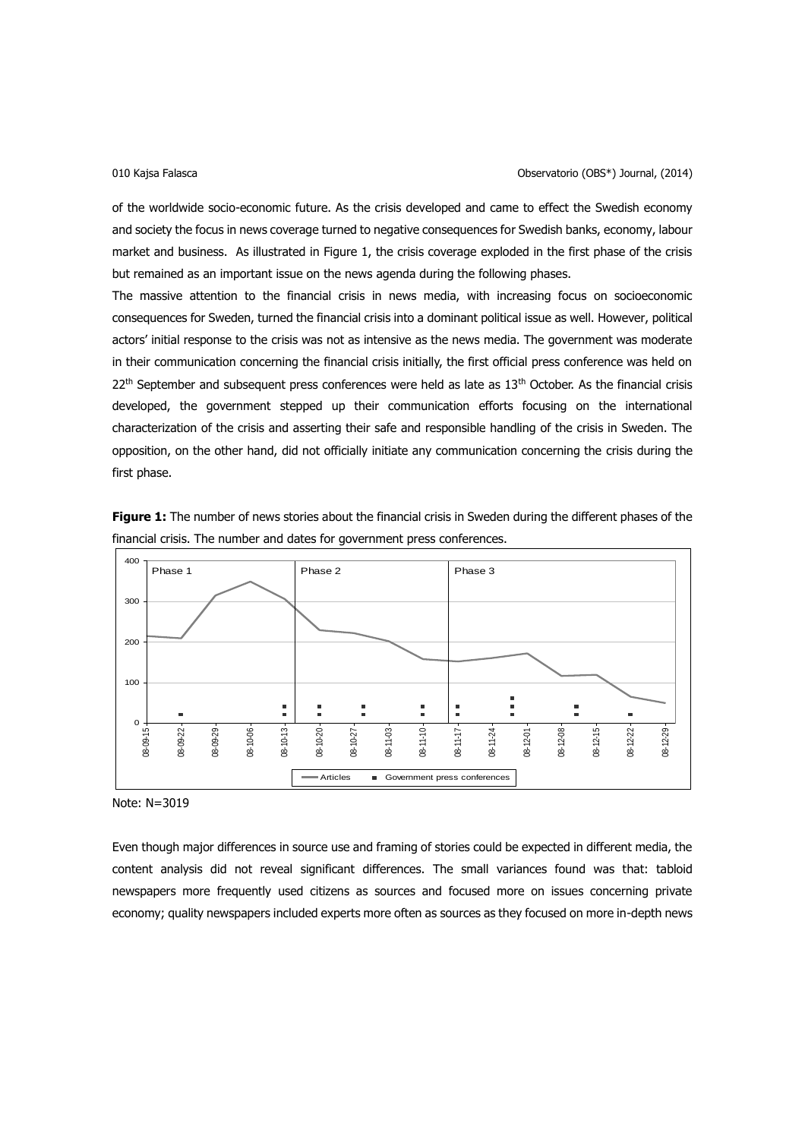of the worldwide socio-economic future. As the crisis developed and came to effect the Swedish economy and society the focus in news coverage turned to negative consequences for Swedish banks, economy, labour market and business. As illustrated in Figure 1, the crisis coverage exploded in the first phase of the crisis but remained as an important issue on the news agenda during the following phases.

The massive attention to the financial crisis in news media, with increasing focus on socioeconomic consequences for Sweden, turned the financial crisis into a dominant political issue as well. However, political actors' initial response to the crisis was not as intensive as the news media. The government was moderate in their communication concerning the financial crisis initially, the first official press conference was held on 22<sup>th</sup> September and subsequent press conferences were held as late as 13<sup>th</sup> October. As the financial crisis developed, the government stepped up their communication efforts focusing on the international characterization of the crisis and asserting their safe and responsible handling of the crisis in Sweden. The opposition, on the other hand, did not officially initiate any communication concerning the crisis during the first phase.



**Figure 1:** The number of news stories about the financial crisis in Sweden during the different phases of the financial crisis. The number and dates for government press conferences.

Note: N=3019

Even though major differences in source use and framing of stories could be expected in different media, the content analysis did not reveal significant differences. The small variances found was that: tabloid newspapers more frequently used citizens as sources and focused more on issues concerning private economy; quality newspapers included experts more often as sources as they focused on more in-depth news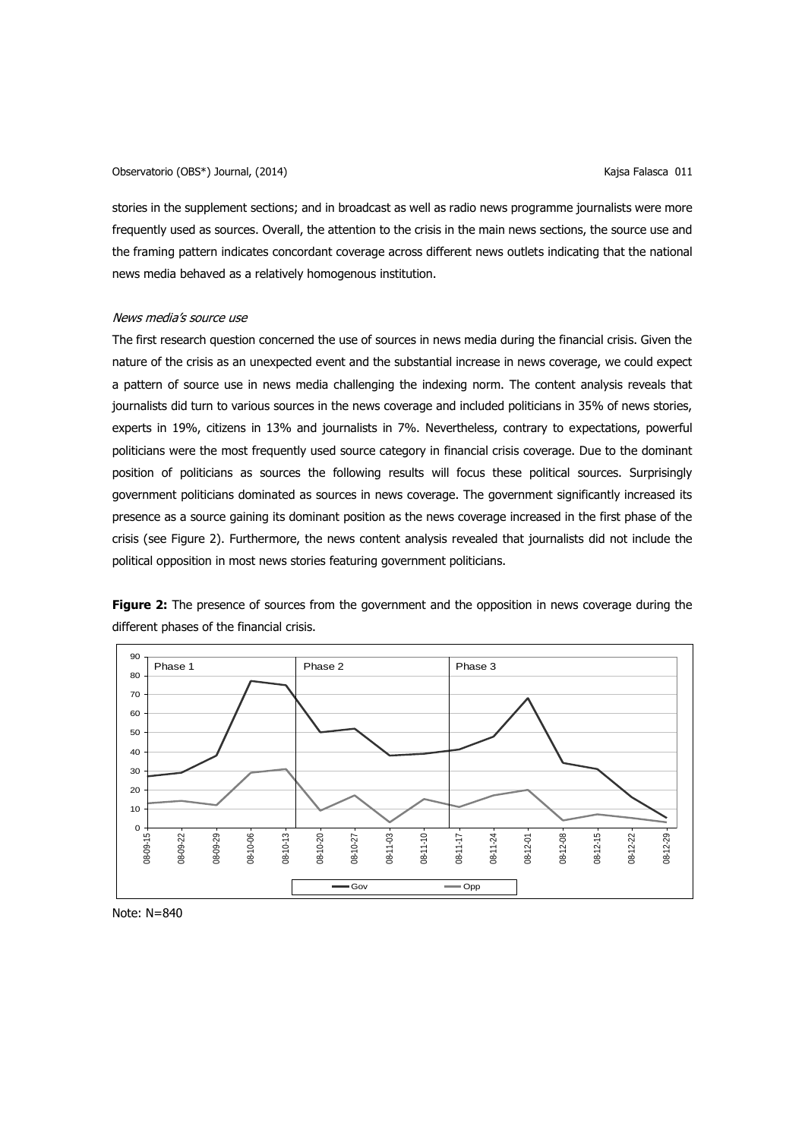stories in the supplement sections; and in broadcast as well as radio news programme journalists were more frequently used as sources. Overall, the attention to the crisis in the main news sections, the source use and the framing pattern indicates concordant coverage across different news outlets indicating that the national news media behaved as a relatively homogenous institution.

# News media's source use

The first research question concerned the use of sources in news media during the financial crisis. Given the nature of the crisis as an unexpected event and the substantial increase in news coverage, we could expect a pattern of source use in news media challenging the indexing norm. The content analysis reveals that journalists did turn to various sources in the news coverage and included politicians in 35% of news stories, experts in 19%, citizens in 13% and journalists in 7%. Nevertheless, contrary to expectations, powerful politicians were the most frequently used source category in financial crisis coverage. Due to the dominant position of politicians as sources the following results will focus these political sources. Surprisingly government politicians dominated as sources in news coverage. The government significantly increased its presence as a source gaining its dominant position as the news coverage increased in the first phase of the crisis (see Figure 2). Furthermore, the news content analysis revealed that journalists did not include the political opposition in most news stories featuring government politicians.



**Figure 2:** The presence of sources from the government and the opposition in news coverage during the different phases of the financial crisis.

Note: N=840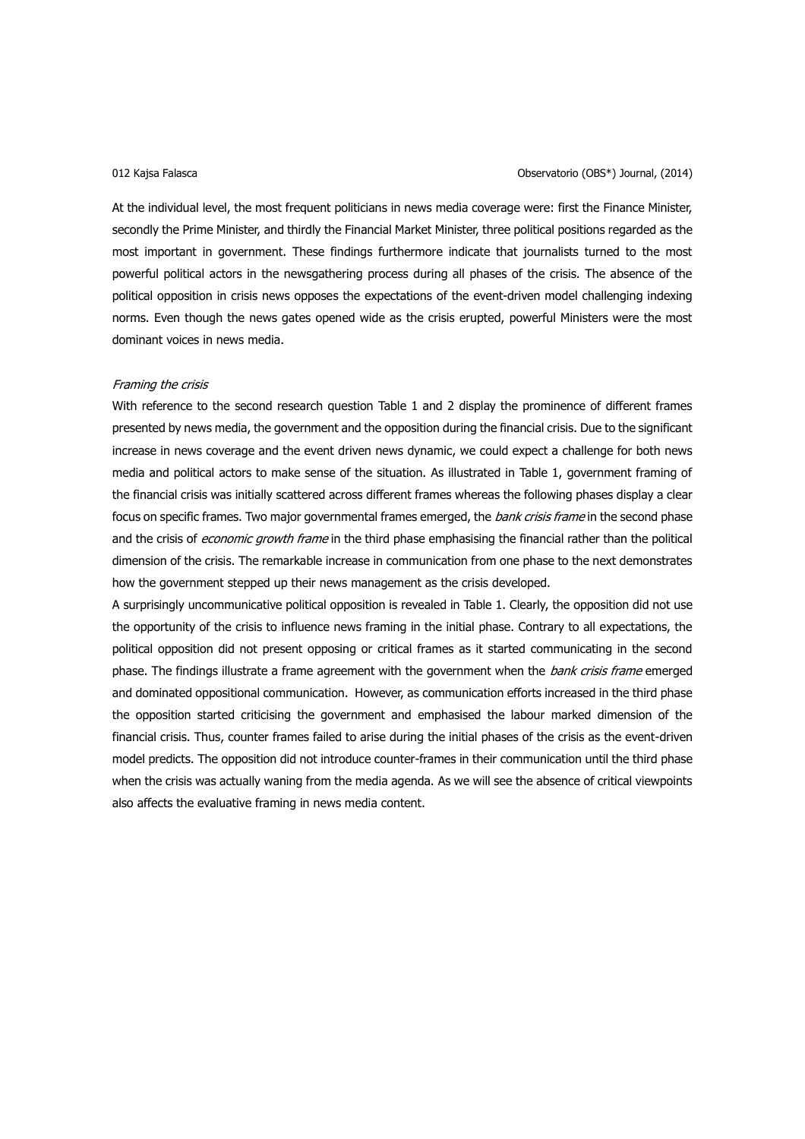### 012 Kajsa Falasca Observatorio (OBS\*) Journal, (2014)

At the individual level, the most frequent politicians in news media coverage were: first the Finance Minister, secondly the Prime Minister, and thirdly the Financial Market Minister, three political positions regarded as the most important in government. These findings furthermore indicate that journalists turned to the most powerful political actors in the newsgathering process during all phases of the crisis. The absence of the political opposition in crisis news opposes the expectations of the event-driven model challenging indexing norms. Even though the news gates opened wide as the crisis erupted, powerful Ministers were the most dominant voices in news media.

### Framing the crisis

With reference to the second research question Table 1 and 2 display the prominence of different frames presented by news media, the government and the opposition during the financial crisis. Due to the significant increase in news coverage and the event driven news dynamic, we could expect a challenge for both news media and political actors to make sense of the situation. As illustrated in Table 1, government framing of the financial crisis was initially scattered across different frames whereas the following phases display a clear focus on specific frames. Two major governmental frames emerged, the bank crisis frame in the second phase and the crisis of *economic growth frame* in the third phase emphasising the financial rather than the political dimension of the crisis. The remarkable increase in communication from one phase to the next demonstrates how the government stepped up their news management as the crisis developed.

A surprisingly uncommunicative political opposition is revealed in Table 1. Clearly, the opposition did not use the opportunity of the crisis to influence news framing in the initial phase. Contrary to all expectations, the political opposition did not present opposing or critical frames as it started communicating in the second phase. The findings illustrate a frame agreement with the government when the bank crisis frame emerged and dominated oppositional communication. However, as communication efforts increased in the third phase the opposition started criticising the government and emphasised the labour marked dimension of the financial crisis. Thus, counter frames failed to arise during the initial phases of the crisis as the event-driven model predicts. The opposition did not introduce counter-frames in their communication until the third phase when the crisis was actually waning from the media agenda. As we will see the absence of critical viewpoints also affects the evaluative framing in news media content.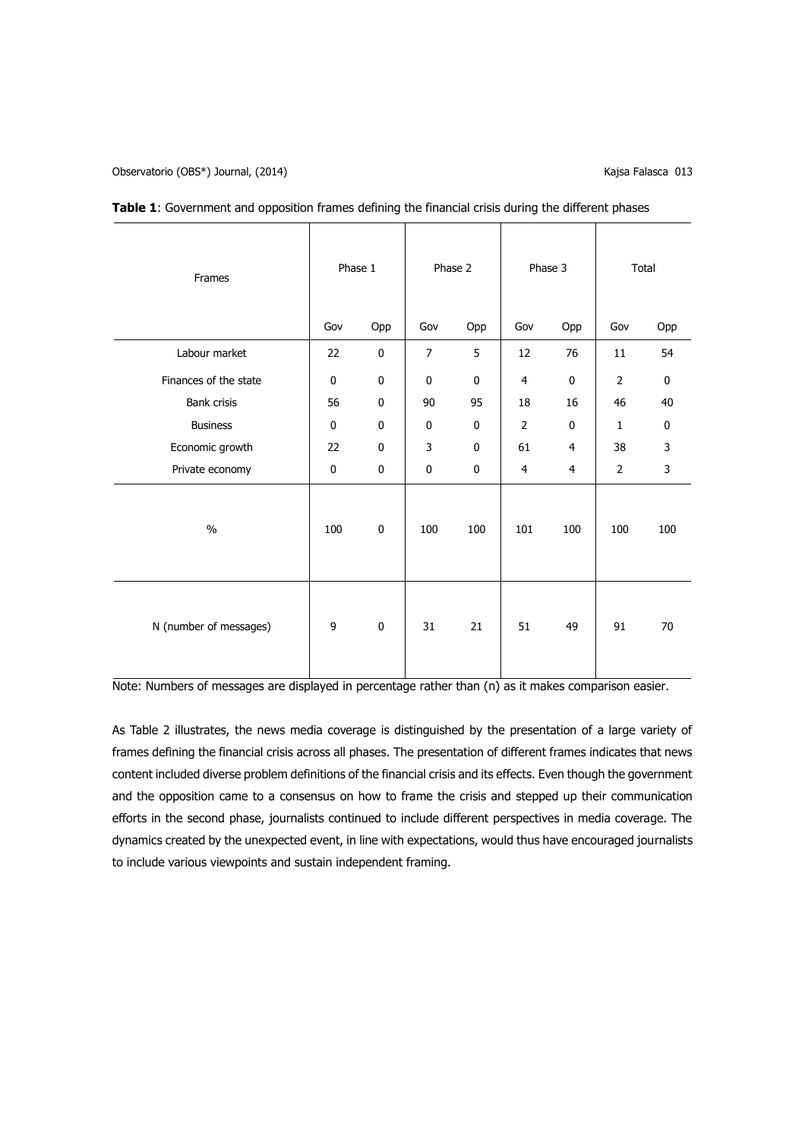| Frames                 |           | Phase 1     |                | Phase 2      |                | Phase 3        |                | Total        |  |
|------------------------|-----------|-------------|----------------|--------------|----------------|----------------|----------------|--------------|--|
|                        | Gov       | Opp         | Gov            | Opp          | Gov            | Opp            | Gov            | Opp          |  |
| Labour market          | 22        | $\mathbf 0$ | $\overline{7}$ | 5            | 12             | 76             | 11             | 54           |  |
| Finances of the state  | $\pmb{0}$ | $\mathbf 0$ | $\mathbf 0$    | $\mathbf 0$  | $\overline{4}$ | $\pmb{0}$      | $\overline{2}$ | $\mathbf 0$  |  |
| <b>Bank crisis</b>     | 56        | $\mathbf 0$ | 90             | 95           | 18             | 16             | 46             | 40           |  |
| <b>Business</b>        | 0         | $\mathbf 0$ | $\mathbf 0$    | $\mathbf 0$  | $\overline{2}$ | $\mathbf 0$    | $\mathbf{1}$   | $\mathbf 0$  |  |
| Economic growth        | 22        | $\mathbf 0$ | 3              | $\mathbf{0}$ | 61             | $\overline{4}$ | 38             | 3            |  |
| Private economy        | 0         | 0           | $\mathbf 0$    | $\mathbf 0$  | $\overline{4}$ | $\overline{4}$ | $\overline{2}$ | $\mathsf{3}$ |  |
| $\frac{0}{0}$          | 100       | $\mathbf 0$ | 100            | 100          | 101            | 100            | 100            | 100          |  |
| N (number of messages) | 9         | $\mathbf 0$ | 31             | 21           | 51             | 49             | 91             | 70           |  |

| Table 1: Government and opposition frames defining the financial crisis during the different phases |  |  |  |  |
|-----------------------------------------------------------------------------------------------------|--|--|--|--|
|-----------------------------------------------------------------------------------------------------|--|--|--|--|

Note: Numbers of messages are displayed in percentage rather than (n) as it makes comparison easier.

As Table 2 illustrates, the news media coverage is distinguished by the presentation of a large variety of frames defining the financial crisis across all phases. The presentation of different frames indicates that news content included diverse problem definitions of the financial crisis and its effects. Even though the government and the opposition came to a consensus on how to frame the crisis and stepped up their communication efforts in the second phase, journalists continued to include different perspectives in media coverage. The dynamics created by the unexpected event, in line with expectations, would thus have encouraged journalists to include various viewpoints and sustain independent framing.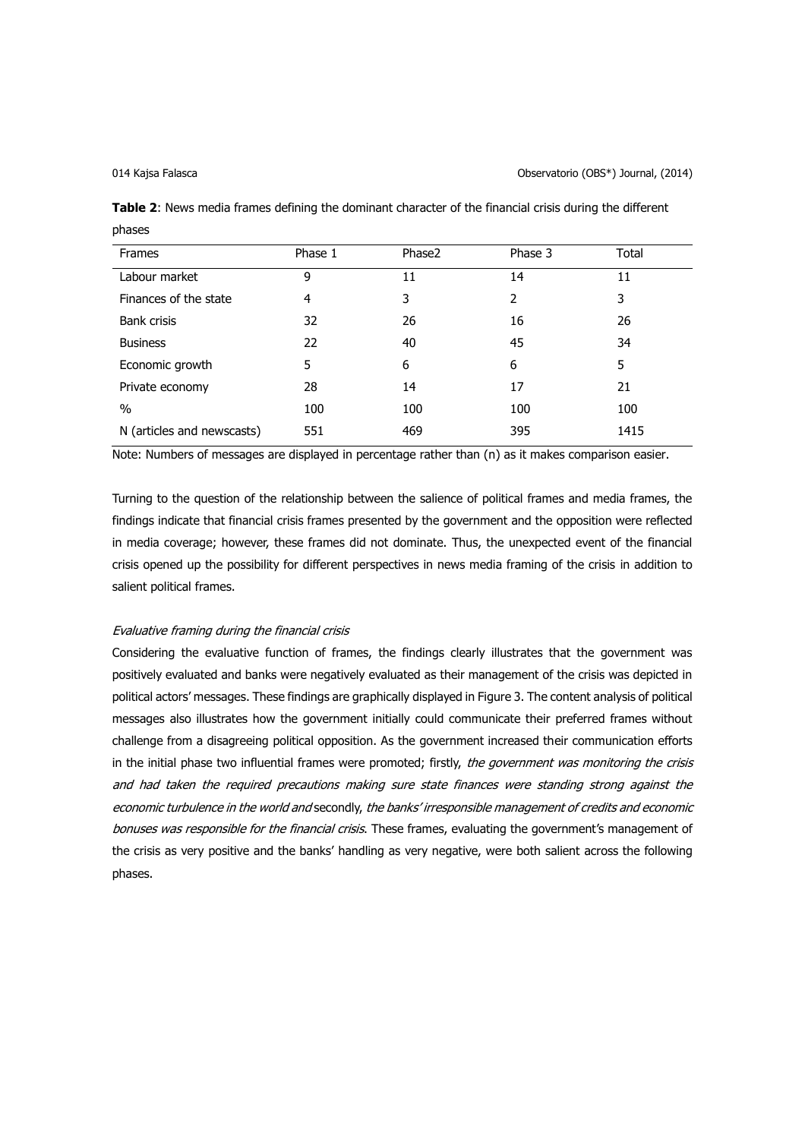014 Kajsa Falasca Observatorio (OBS\*) Journal, (2014)

**Table 2**: News media frames defining the dominant character of the financial crisis during the different phases

| <b>Frames</b>              | Phase 1 | Phase <sub>2</sub> | Phase 3 | Total |
|----------------------------|---------|--------------------|---------|-------|
| Labour market              | 9       | 11                 | 14      | 11    |
| Finances of the state      | 4       | 3                  | 2       | 3     |
| <b>Bank crisis</b>         | 32      | 26                 | 16      | 26    |
| <b>Business</b>            | 22      | 40                 | 45      | 34    |
| Economic growth            | 5       | 6                  | 6       | 5     |
| Private economy            | 28      | 14                 | 17      | 21    |
| $\%$                       | 100     | 100                | 100     | 100   |
| N (articles and newscasts) | 551     | 469                | 395     | 1415  |

Note: Numbers of messages are displayed in percentage rather than (n) as it makes comparison easier.

Turning to the question of the relationship between the salience of political frames and media frames, the findings indicate that financial crisis frames presented by the government and the opposition were reflected in media coverage; however, these frames did not dominate. Thus, the unexpected event of the financial crisis opened up the possibility for different perspectives in news media framing of the crisis in addition to salient political frames.

# Evaluative framing during the financial crisis

Considering the evaluative function of frames, the findings clearly illustrates that the government was positively evaluated and banks were negatively evaluated as their management of the crisis was depicted in political actors' messages. These findings are graphically displayed in Figure 3. The content analysis of political messages also illustrates how the government initially could communicate their preferred frames without challenge from a disagreeing political opposition. As the government increased their communication efforts in the initial phase two influential frames were promoted; firstly, the government was monitoring the crisis and had taken the required precautions making sure state finances were standing strong against the economic turbulence in the world and secondly, the banks' irresponsible management of credits and economic bonuses was responsible for the financial crisis. These frames, evaluating the government's management of the crisis as very positive and the banks' handling as very negative, were both salient across the following phases.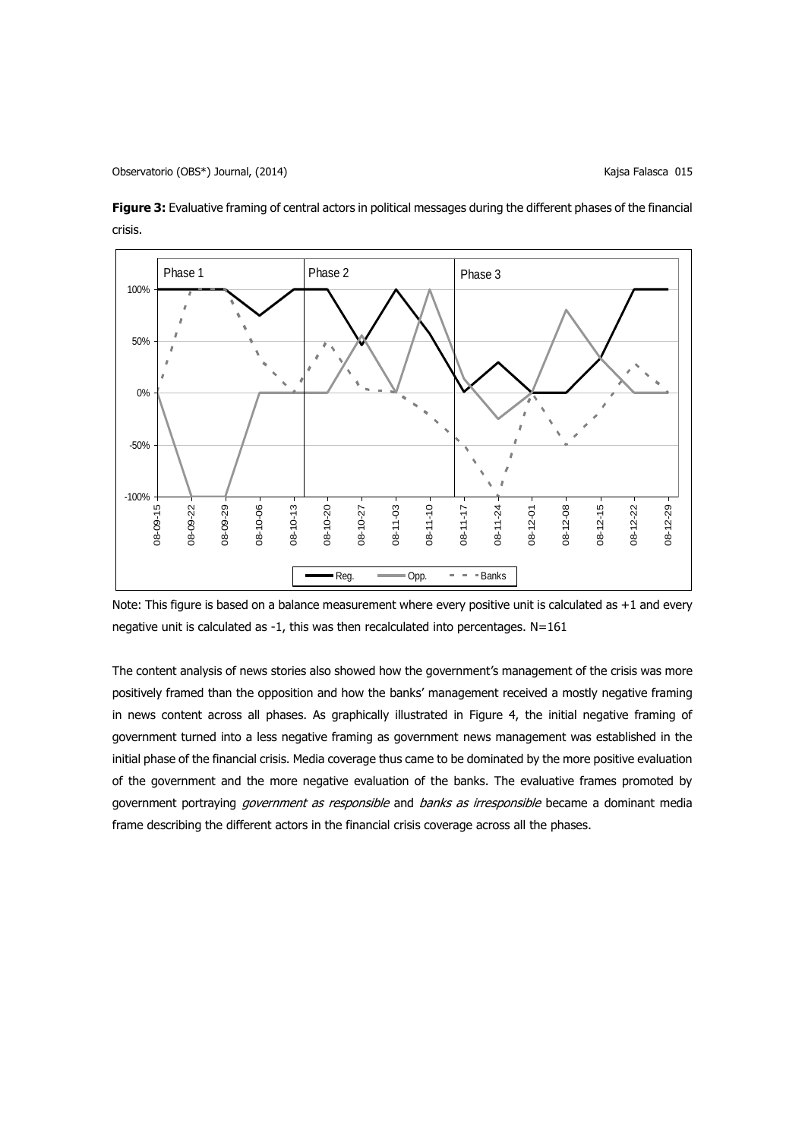Phase 1 Phase 2 Phase 3 ∔ 100%-<br>مب<br>60<br>69 -50% 0% 50% 100%  $08-09-09-22$  08-09-20 08-10-27 08-09-20 08-10-20 08-10-20 08-10-27 08-12-21 08-12-20 08-12-23 08-12-23 08-12-23 08-12-29 08-12-23 08-12-23 08-12-29 08-12-29 08-12-23 08-12-23 08-12-23 08-12-23 08-12-23 08-12-23 08-12-29 Reg.  $\qquad \qquad \text{Opp.} \qquad \qquad = \qquad \text{Banks}$ 

**Figure 3:** Evaluative framing of central actors in political messages during the different phases of the financial crisis.

Note: This figure is based on a balance measurement where every positive unit is calculated as +1 and every negative unit is calculated as -1, this was then recalculated into percentages.  $N=161$ 

The content analysis of news stories also showed how the government's management of the crisis was more positively framed than the opposition and how the banks' management received a mostly negative framing in news content across all phases. As graphically illustrated in Figure 4, the initial negative framing of government turned into a less negative framing as government news management was established in the initial phase of the financial crisis. Media coverage thus came to be dominated by the more positive evaluation of the government and the more negative evaluation of the banks. The evaluative frames promoted by government portraying *government as responsible* and *banks as irresponsible* became a dominant media frame describing the different actors in the financial crisis coverage across all the phases.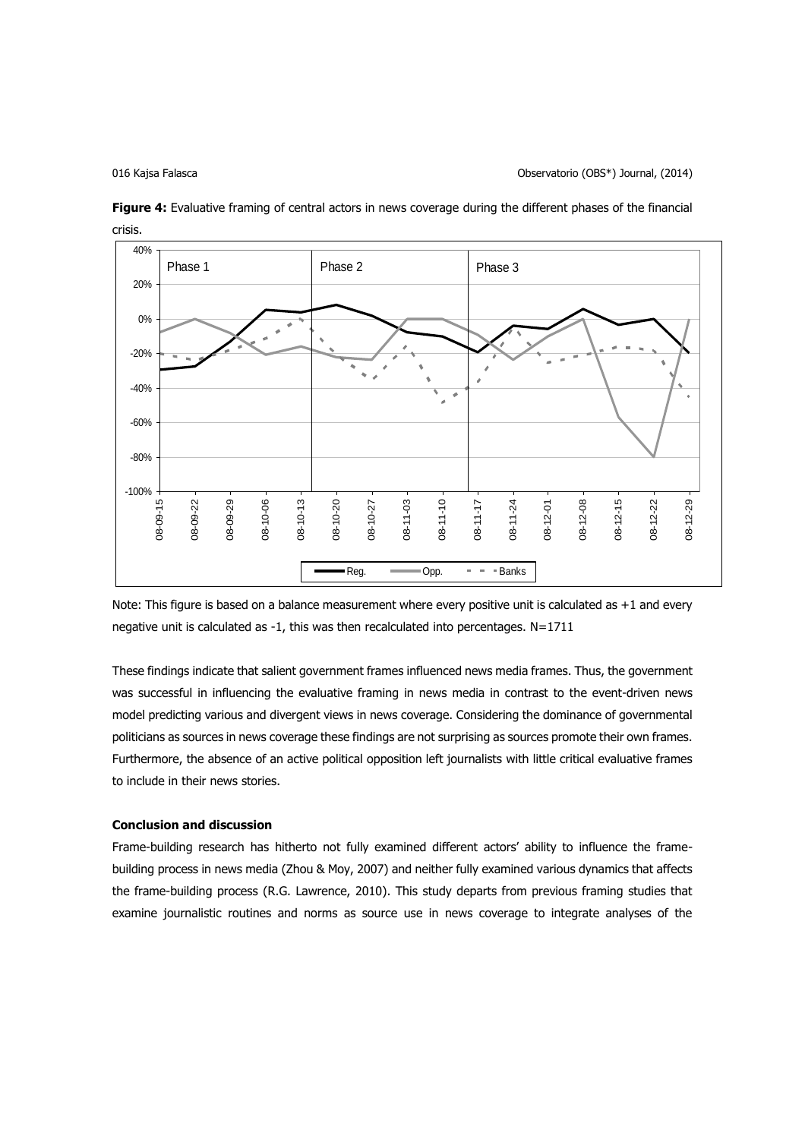

**Figure 4:** Evaluative framing of central actors in news coverage during the different phases of the financial crisis.

Note: This figure is based on a balance measurement where every positive unit is calculated as +1 and every negative unit is calculated as -1, this was then recalculated into percentages. N=1711

These findings indicate that salient government frames influenced news media frames. Thus, the government was successful in influencing the evaluative framing in news media in contrast to the event-driven news model predicting various and divergent views in news coverage. Considering the dominance of governmental politicians as sources in news coverage these findings are not surprising as sources promote their own frames. Furthermore, the absence of an active political opposition left journalists with little critical evaluative frames to include in their news stories.

# **Conclusion and discussion**

Frame-building research has hitherto not fully examined different actors' ability to influence the framebuilding process in news media [\(Zhou & Moy, 2007\)](#page-20-1) and neither fully examined various dynamics that affects the frame-building process [\(R.G. Lawrence, 2010\)](#page-19-7). This study departs from previous framing studies that examine journalistic routines and norms as source use in news coverage to integrate analyses of the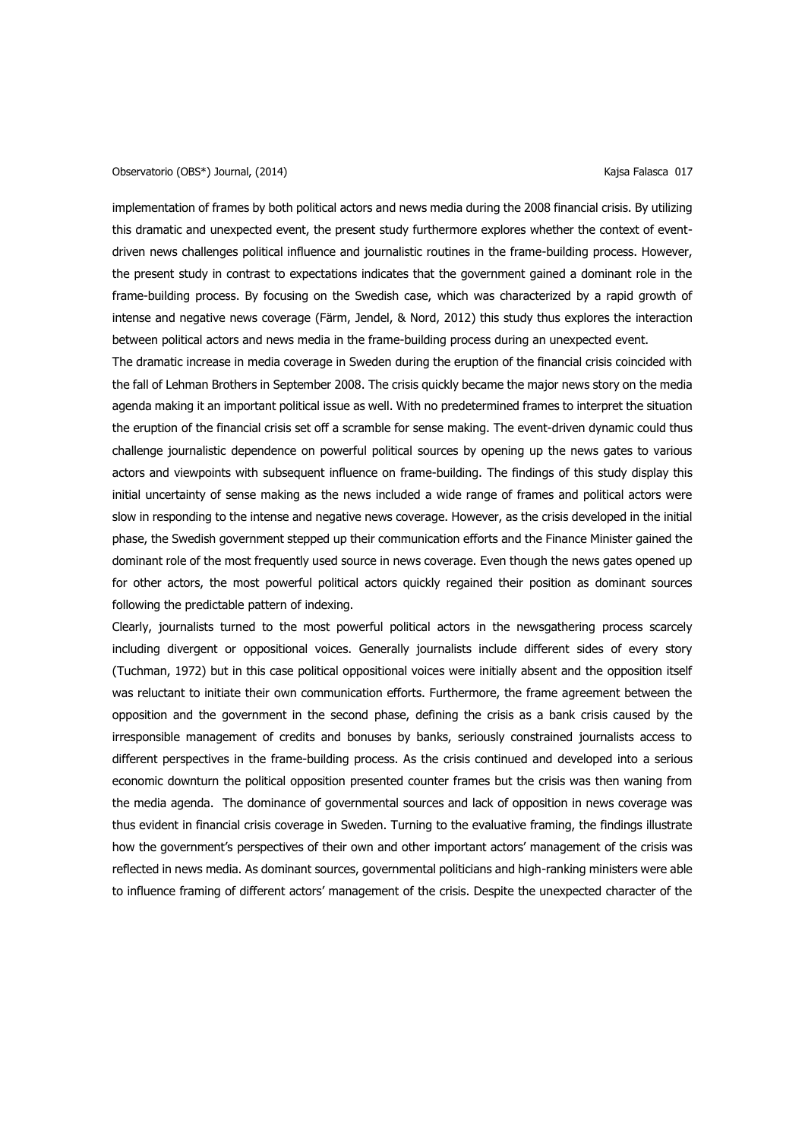# Observatorio (OBS\*) Journal, (2014) Charles and Controller and Controller and Controller and Controller and Controller and Controller and Controller and Controller and Controller and Controller and Controller and Controlle

implementation of frames by both political actors and news media during the 2008 financial crisis. By utilizing this dramatic and unexpected event, the present study furthermore explores whether the context of eventdriven news challenges political influence and journalistic routines in the frame-building process. However, the present study in contrast to expectations indicates that the government gained a dominant role in the frame-building process. By focusing on the Swedish case, which was characterized by a rapid growth of intense and negative news coverage [\(Färm, Jendel, & Nord, 2012\)](#page-19-16) this study thus explores the interaction between political actors and news media in the frame-building process during an unexpected event.

The dramatic increase in media coverage in Sweden during the eruption of the financial crisis coincided with the fall of Lehman Brothers in September 2008. The crisis quickly became the major news story on the media agenda making it an important political issue as well. With no predetermined frames to interpret the situation the eruption of the financial crisis set off a scramble for sense making. The event-driven dynamic could thus challenge journalistic dependence on powerful political sources by opening up the news gates to various actors and viewpoints with subsequent influence on frame-building. The findings of this study display this initial uncertainty of sense making as the news included a wide range of frames and political actors were slow in responding to the intense and negative news coverage. However, as the crisis developed in the initial phase, the Swedish government stepped up their communication efforts and the Finance Minister gained the dominant role of the most frequently used source in news coverage. Even though the news gates opened up for other actors, the most powerful political actors quickly regained their position as dominant sources following the predictable pattern of indexing.

Clearly, journalists turned to the most powerful political actors in the newsgathering process scarcely including divergent or oppositional voices. Generally journalists include different sides of every story [\(Tuchman, 1972\)](#page-20-7) but in this case political oppositional voices were initially absent and the opposition itself was reluctant to initiate their own communication efforts. Furthermore, the frame agreement between the opposition and the government in the second phase, defining the crisis as a bank crisis caused by the irresponsible management of credits and bonuses by banks, seriously constrained journalists access to different perspectives in the frame-building process. As the crisis continued and developed into a serious economic downturn the political opposition presented counter frames but the crisis was then waning from the media agenda. The dominance of governmental sources and lack of opposition in news coverage was thus evident in financial crisis coverage in Sweden. Turning to the evaluative framing, the findings illustrate how the government's perspectives of their own and other important actors' management of the crisis was reflected in news media. As dominant sources, governmental politicians and high-ranking ministers were able to influence framing of different actors' management of the crisis. Despite the unexpected character of the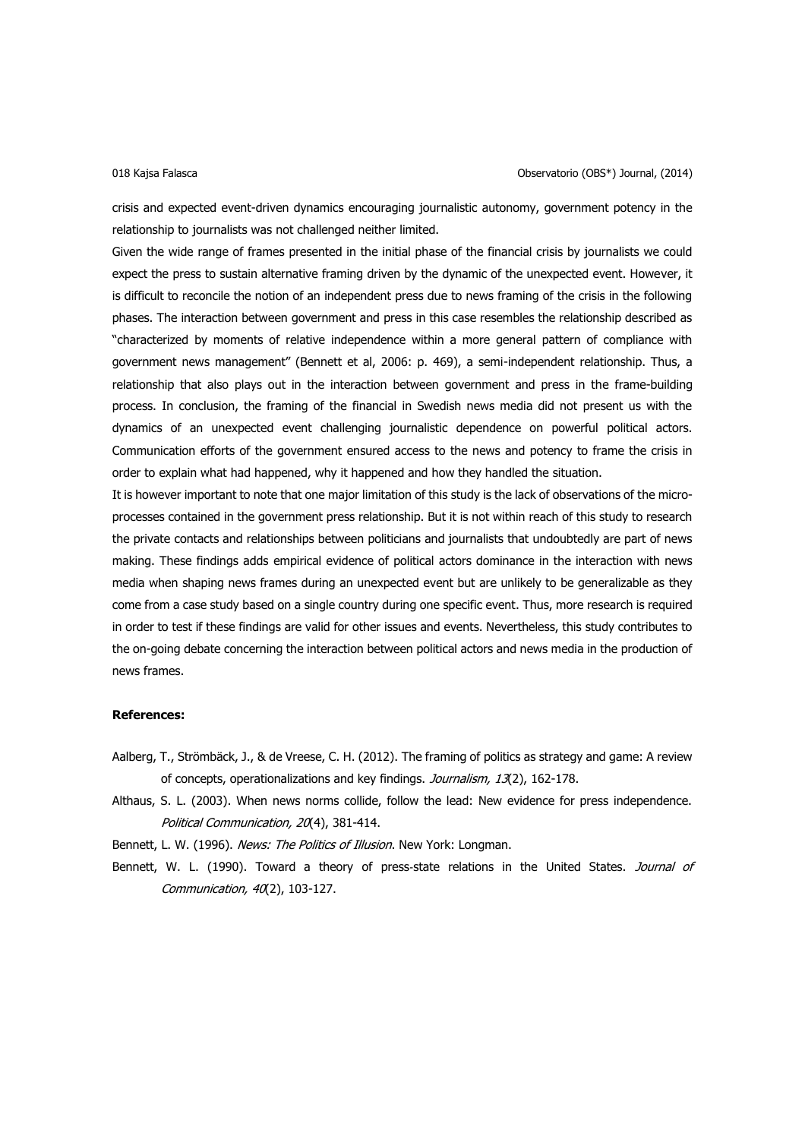crisis and expected event-driven dynamics encouraging journalistic autonomy, government potency in the relationship to journalists was not challenged neither limited.

Given the wide range of frames presented in the initial phase of the financial crisis by journalists we could expect the press to sustain alternative framing driven by the dynamic of the unexpected event. However, it is difficult to reconcile the notion of an independent press due to news framing of the crisis in the following phases. The interaction between government and press in this case resembles the relationship described as "characterized by moments of relative independence within a more general pattern of compliance with government news management" (Bennett et al, 2006: p. 469), a semi-independent relationship. Thus, a relationship that also plays out in the interaction between government and press in the frame-building process. In conclusion, the framing of the financial in Swedish news media did not present us with the dynamics of an unexpected event challenging journalistic dependence on powerful political actors. Communication efforts of the government ensured access to the news and potency to frame the crisis in order to explain what had happened, why it happened and how they handled the situation.

It is however important to note that one major limitation of this study is the lack of observations of the microprocesses contained in the government press relationship. But it is not within reach of this study to research the private contacts and relationships between politicians and journalists that undoubtedly are part of news making. These findings adds empirical evidence of political actors dominance in the interaction with news media when shaping news frames during an unexpected event but are unlikely to be generalizable as they come from a case study based on a single country during one specific event. Thus, more research is required in order to test if these findings are valid for other issues and events. Nevertheless, this study contributes to the on-going debate concerning the interaction between political actors and news media in the production of news frames.

### **References:**

- <span id="page-17-1"></span>Aalberg, T., Strömbäck, J., & de Vreese, C. H. (2012). The framing of politics as strategy and game: A review of concepts, operationalizations and key findings. Journalism, 13(2), 162-178.
- <span id="page-17-2"></span>Althaus, S. L. (2003). When news norms collide, follow the lead: New evidence for press independence. Political Communication, 20(4), 381-414.

<span id="page-17-0"></span>Bennett, L. W. (1996). News: The Politics of Illusion. New York: Longman.

<span id="page-17-3"></span>Bennett, W. L. (1990). Toward a theory of press-state relations in the United States. Journal of Communication, 40(2), 103-127.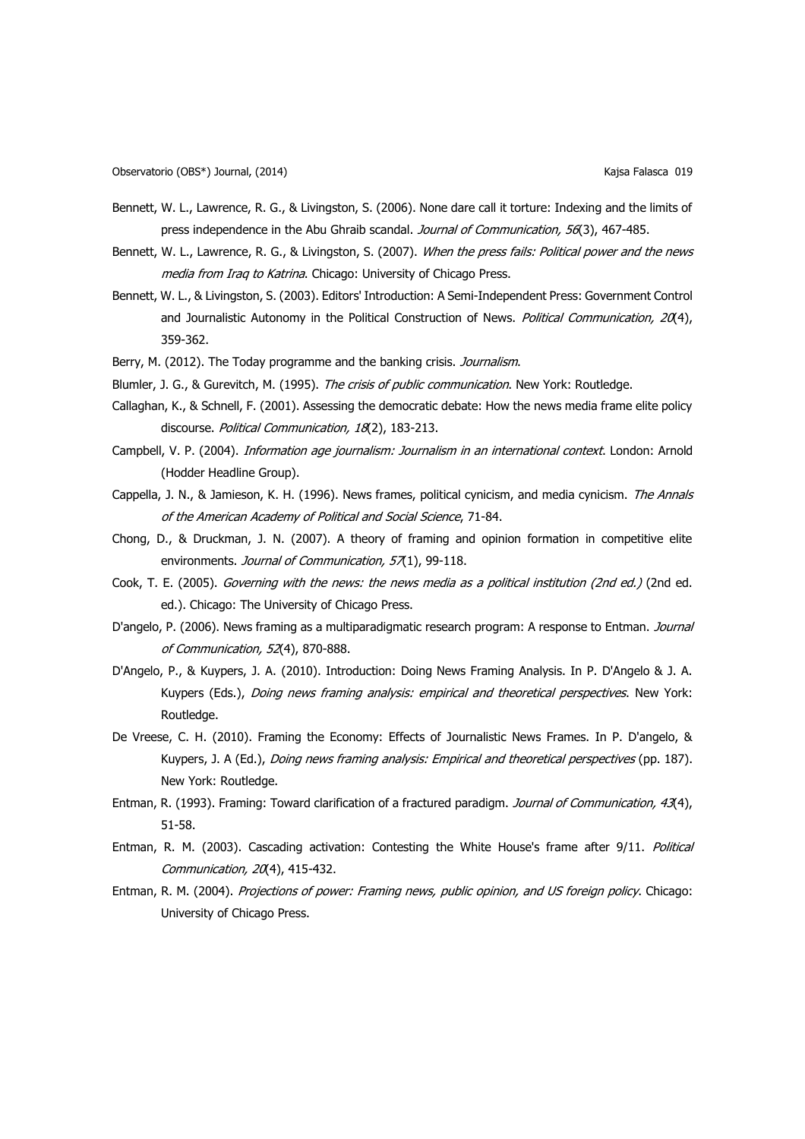- <span id="page-18-14"></span>Bennett, W. L., Lawrence, R. G., & Livingston, S. (2006). None dare call it torture: Indexing and the limits of press independence in the Abu Ghraib scandal. Journal of Communication, 56(3), 467-485.
- <span id="page-18-5"></span>Bennett, W. L., Lawrence, R. G., & Livingston, S. (2007). When the press fails: Political power and the news media from Iraq to Katrina. Chicago: University of Chicago Press.
- <span id="page-18-0"></span>Bennett, W. L., & Livingston, S. (2003). Editors' Introduction: A Semi-Independent Press: Government Control and Journalistic Autonomy in the Political Construction of News. Political Communication, 20(4), 359-362.
- <span id="page-18-15"></span>Berry, M. (2012). The Today programme and the banking crisis. Journalism.
- <span id="page-18-11"></span>Blumler, J. G., & Gurevitch, M. (1995). The crisis of public communication. New York: Routledge.
- <span id="page-18-4"></span>Callaghan, K., & Schnell, F. (2001). Assessing the democratic debate: How the news media frame elite policy discourse. Political Communication, 18(2), 183-213.
- <span id="page-18-1"></span>Campbell, V. P. (2004). *Information age journalism: Journalism in an international context*. London: Arnold (Hodder Headline Group).
- <span id="page-18-6"></span>Cappella, J. N., & Jamieson, K. H. (1996). News frames, political cynicism, and media cynicism. The Annals of the American Academy of Political and Social Science, 71-84.
- <span id="page-18-12"></span>Chong, D., & Druckman, J. N. (2007). A theory of framing and opinion formation in competitive elite environments. Journal of Communication, 57(1), 99-118.
- <span id="page-18-3"></span>Cook, T. E. (2005). Governing with the news: the news media as a political institution (2nd ed.) (2nd ed. ed.). Chicago: The University of Chicago Press.
- <span id="page-18-10"></span>D'angelo, P. (2006). News framing as a multiparadigmatic research program: A response to Entman. Journal of Communication, 52(4), 870-888.
- <span id="page-18-7"></span>D'Angelo, P., & Kuypers, J. A. (2010). Introduction: Doing News Framing Analysis. In P. D'Angelo & J. A. Kuypers (Eds.), Doing news framing analysis: empirical and theoretical perspectives. New York: Routledge.
- <span id="page-18-9"></span>De Vreese, C. H. (2010). Framing the Economy: Effects of Journalistic News Frames. In P. D'angelo, & Kuypers, J. A (Ed.), *Doing news framing analysis: Empirical and theoretical perspectives* (pp. 187). New York: Routledge.
- <span id="page-18-8"></span>Entman, R. (1993). Framing: Toward clarification of a fractured paradigm. Journal of Communication, 43(4), 51-58.
- <span id="page-18-13"></span>Entman, R. M. (2003). Cascading activation: Contesting the White House's frame after 9/11. Political Communication, 20(4), 415-432.
- <span id="page-18-2"></span>Entman, R. M. (2004). Projections of power: Framing news, public opinion, and US foreign policy. Chicago: University of Chicago Press.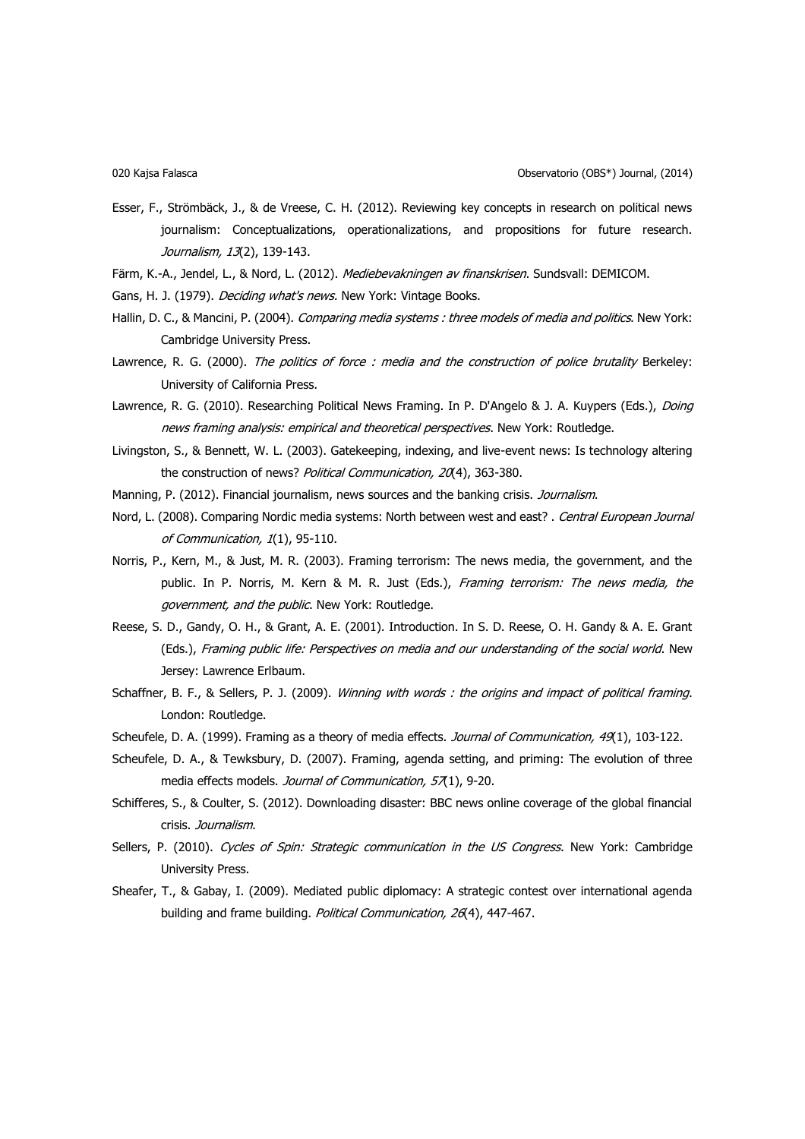- <span id="page-19-15"></span>Esser, F., Strömbäck, J., & de Vreese, C. H. (2012). Reviewing key concepts in research on political news journalism: Conceptualizations, operationalizations, and propositions for future research. Journalism, 13(2), 139-143.
- <span id="page-19-16"></span>Färm, K.-A., Jendel, L., & Nord, L. (2012). Mediebevakningen av finanskrisen. Sundsvall: DEMICOM.
- <span id="page-19-0"></span>Gans, H. J. (1979). *Deciding what's news.* New York: Vintage Books.
- <span id="page-19-13"></span>Hallin, D. C., & Mancini, P. (2004). Comparing media systems : three models of media and politics. New York: Cambridge University Press.
- <span id="page-19-2"></span>Lawrence, R. G. (2000). The politics of force : media and the construction of police brutality Berkeley: University of California Press.
- <span id="page-19-7"></span>Lawrence, R. G. (2010). Researching Political News Framing. In P. D'Angelo & J. A. Kuypers (Eds.), Doing news framing analysis: empirical and theoretical perspectives. New York: Routledge.
- <span id="page-19-10"></span>Livingston, S., & Bennett, W. L. (2003). Gatekeeping, indexing, and live-event news: Is technology altering the construction of news? Political Communication, 20(4), 363-380.
- <span id="page-19-11"></span>Manning, P. (2012). Financial journalism, news sources and the banking crisis. Journalism.
- <span id="page-19-14"></span>Nord, L. (2008). Comparing Nordic media systems: North between west and east? . Central European Journal of Communication, 1(1), 95-110.
- <span id="page-19-1"></span>Norris, P., Kern, M., & Just, M. R. (2003). Framing terrorism: The news media, the government, and the public. In P. Norris, M. Kern & M. R. Just (Eds.), Framing terrorism: The news media, the government, and the public. New York: Routledge.
- <span id="page-19-3"></span>Reese, S. D., Gandy, O. H., & Grant, A. E. (2001). Introduction. In S. D. Reese, O. H. Gandy & A. E. Grant (Eds.), Framing public life: Perspectives on media and our understanding of the social world. New Jersey: Lawrence Erlbaum.
- <span id="page-19-4"></span>Schaffner, B. F., & Sellers, P. J. (2009). Winning with words : the origins and impact of political framing. London: Routledge.
- <span id="page-19-8"></span>Scheufele, D. A. (1999). Framing as a theory of media effects. Journal of Communication, 49(1), 103-122.
- <span id="page-19-6"></span>Scheufele, D. A., & Tewksbury, D. (2007). Framing, agenda setting, and priming: The evolution of three media effects models. Journal of Communication, 57(1), 9-20.
- <span id="page-19-12"></span>Schifferes, S., & Coulter, S. (2012). Downloading disaster: BBC news online coverage of the global financial crisis. Journalism.
- <span id="page-19-5"></span>Sellers, P. (2010). Cycles of Spin: Strategic communication in the US Congress. New York: Cambridge University Press.
- <span id="page-19-9"></span>Sheafer, T., & Gabay, I. (2009). Mediated public diplomacy: A strategic contest over international agenda building and frame building. *Political Communication, 26*(4), 447-467.